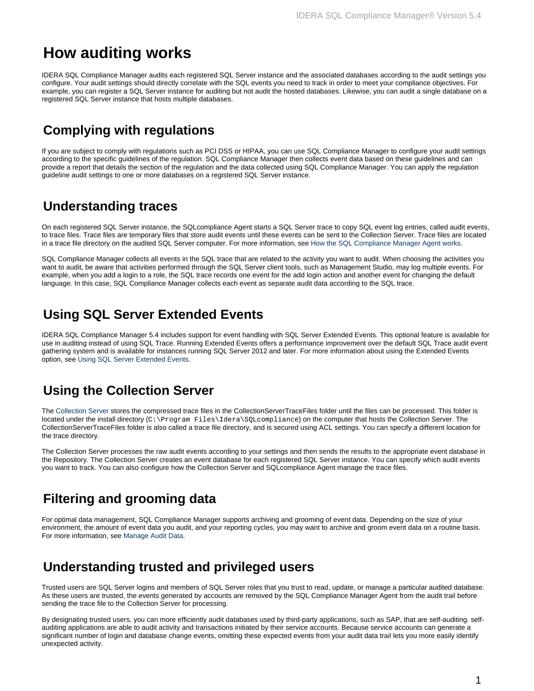# **How auditing works**

IDERA SQL Compliance Manager audits each registered SQL Server instance and the associated databases according to the audit settings you configure. Your audit settings should directly correlate with the SQL events you need to track in order to meet your compliance objectives. For example, you can register a SQL Server instance for auditing but not audit the hosted databases. Likewise, you can audit a single database on a registered SQL Server instance that hosts multiple databases.

## **Complying with regulations**

If you are subject to comply with regulations such as PCI DSS or HIPAA, you can use SQL Compliance Manager to configure your audit settings according to the specific guidelines of the regulation. SQL Compliance Manager then collects event data based on these guidelines and can provide a report that details the section of the regulation and the data collected using SQL Compliance Manager. You can apply the regulation guideline audit settings to one or more databases on a registered SQL Server instance.

#### **Understanding traces**

On each registered SQL Server instance, the SQLcompliance Agent starts a SQL Server trace to copy SQL event log entries, called audit events, to trace files. Trace files are temporary files that store audit events until these events can be sent to the Collection Server. Trace files are located in a trace file directory on the audited SQL Server computer. For more information, see [How the SQL Compliance Manager Agent works](https://wiki.idera.com/display/SQLCM54/How+the+SQL+Compliance+Manager+Agent+works).

SQL Compliance Manager collects all events in the SQL trace that are related to the activity you want to audit. When choosing the activities you want to audit, be aware that activities performed through the SQL Server client tools, such as Management Studio, may log multiple events. For example, when you add a login to a role, the SQL trace records one event for the add login action and another event for changing the default language. In this case, SQL Compliance Manager collects each event as separate audit data according to the SQL trace.

## **Using SQL Server Extended Events**

IDERA SQL Compliance Manager 5.4 includes support for event handling with SQL Server Extended Events. This optional feature is available for use in auditing instead of using SQL Trace. Running Extended Events offers a performance improvement over the default SQL Trace audit event gathering system and is available for instances running SQL Server 2012 and later. For more information about using the Extended Events option, see [Using SQL Server Extended Events](https://wiki.idera.com/display/SQLCM54/Using+SQL+Server+Extended+Events).

#### **Using the Collection Server**

The [Collection Server](https://wiki.idera.com/display/SQLCM54/Product+components+and+architecture) stores the compressed trace files in the CollectionServerTraceFiles folder until the files can be processed. This folder is located under the install directory (C:\Program Files\Idera\SQLcompliance) on the computer that hosts the Collection Server. The CollectionServerTraceFiles folder is also called a trace file directory, and is secured using ACL settings. You can specify a different location for the trace directory.

The Collection Server processes the raw audit events according to your settings and then sends the results to the appropriate event database in the Repository. The Collection Server creates an event database for each registered SQL Server instance. You can specify which audit events you want to track. You can also configure how the Collection Server and SQLcompliance Agent manage the trace files.

## **Filtering and grooming data**

For optimal data management, SQL Compliance Manager supports archiving and grooming of event data. Depending on the size of your environment, the amount of event data you audit, and your reporting cycles, you may want to archive and groom event data on a routine basis. For more information, see [Manage Audit Data](https://wiki.idera.com/display/SQLCM54/Manage+Audit+Data).

#### **Understanding trusted and privileged users**

Trusted users are SQL Server logins and members of SQL Server roles that you trust to read, update, or manage a particular audited database. As these users are trusted, the events generated by accounts are removed by the SQL Compliance Manager Agent from the audit trail before sending the trace file to the Collection Server for processing.

By designating trusted users, you can more efficiently audit databases used by third-party applications, such as SAP, that are self-auditing. selfauditing applications are able to audit activity and transactions initiated by their service accounts. Because service accounts can generate a significant number of login and database change events, omitting these expected events from your audit data trail lets you more easily identify unexpected activity.